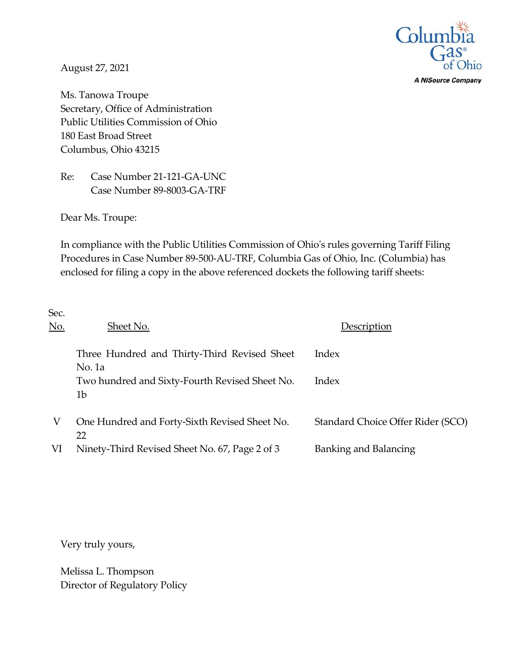

**A NiSource Company** 

August 27, 2021

Ms. Tanowa Troupe Secretary, Office of Administration Public Utilities Commission of Ohio 180 East Broad Street Columbus, Ohio 43215

Re: Case Number 21-121-GA-UNC Case Number 89-8003-GA-TRF

Dear Ms. Troupe:

In compliance with the Public Utilities Commission of Ohio's rules governing Tariff Filing Procedures in Case Number 89-500-AU-TRF, Columbia Gas of Ohio, Inc. (Columbia) has enclosed for filing a copy in the above referenced dockets the following tariff sheets:

| Sec.<br><u>No.</u> | Sheet No.                                              | Description                       |
|--------------------|--------------------------------------------------------|-----------------------------------|
|                    | Three Hundred and Thirty-Third Revised Sheet<br>No. 1a | Index                             |
|                    | Two hundred and Sixty-Fourth Revised Sheet No.<br>1b   | Index                             |
| V                  | One Hundred and Forty-Sixth Revised Sheet No.<br>22    | Standard Choice Offer Rider (SCO) |
| VI                 | Ninety-Third Revised Sheet No. 67, Page 2 of 3         | <b>Banking and Balancing</b>      |

Very truly yours,

Melissa L. Thompson Director of Regulatory Policy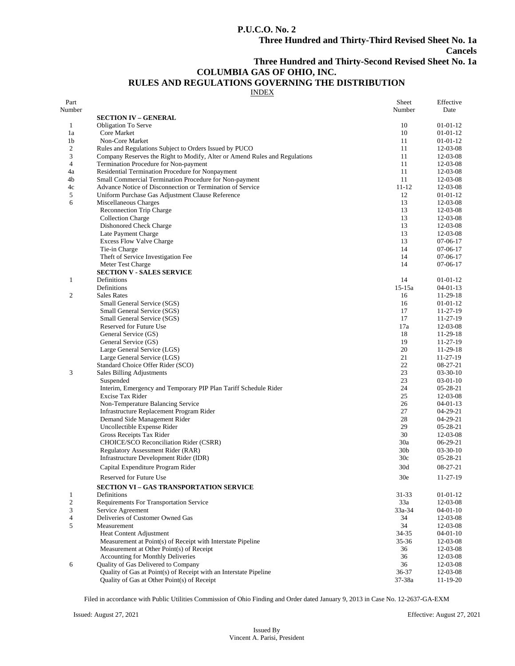## **P.U.C.O. No. 2**

## **Cancels**

**Three Hundred and Thirty-Second Revised Sheet No. 1a**

# **COLUMBIA GAS OF OHIO, INC.**

# **RULES AND REGULATIONS GOVERNING THE DISTRIBUTION**

INDEX

| Part<br>Number   |                                                                                                                  | Sheet<br>Number | Effective<br>Date    |
|------------------|------------------------------------------------------------------------------------------------------------------|-----------------|----------------------|
|                  | <b>SECTION IV – GENERAL</b>                                                                                      |                 |                      |
| 1                | <b>Obligation To Serve</b>                                                                                       | 10              | 01-01-12             |
| 1a               | Core Market                                                                                                      | 10              | $01-01-12$           |
| 1 <sub>b</sub>   | Non-Core Market                                                                                                  | 11              | $01-01-12$           |
| $\boldsymbol{2}$ | Rules and Regulations Subject to Orders Issued by PUCO                                                           | 11              | 12-03-08             |
| 3                | Company Reserves the Right to Modify, Alter or Amend Rules and Regulations                                       | 11              | 12-03-08             |
| 4                | Termination Procedure for Non-payment                                                                            | 11              | 12-03-08             |
| 4a               | Residential Termination Procedure for Nonpayment                                                                 | 11              | 12-03-08             |
| 4b               | Small Commercial Termination Procedure for Non-payment                                                           | 11              | 12-03-08             |
| 4c               | Advance Notice of Disconnection or Termination of Service                                                        | $11 - 12$       | 12-03-08             |
| 5                | Uniform Purchase Gas Adjustment Clause Reference                                                                 | 12              | $01-01-12$           |
| 6                | Miscellaneous Charges                                                                                            | 13              | 12-03-08             |
|                  | <b>Reconnection Trip Charge</b>                                                                                  | 13              | 12-03-08             |
|                  | <b>Collection Charge</b>                                                                                         | 13              | 12-03-08             |
|                  | Dishonored Check Charge                                                                                          | 13              | 12-03-08             |
|                  | Late Payment Charge                                                                                              | 13              | 12-03-08             |
|                  | <b>Excess Flow Valve Charge</b>                                                                                  | 13              | $07-06-17$           |
|                  | Tie-in Charge                                                                                                    | 14              | $07-06-17$           |
|                  | Theft of Service Investigation Fee                                                                               | 14              | $07-06-17$           |
|                  | Meter Test Charge                                                                                                | 14              | $07-06-17$           |
|                  | <b>SECTION V - SALES SERVICE</b>                                                                                 |                 |                      |
| $\mathbf{1}$     | Definitions                                                                                                      | 14              | $01-01-12$           |
|                  | Definitions                                                                                                      | $15-15a$        | $04 - 01 - 13$       |
| $\mathbf{2}$     | <b>Sales Rates</b>                                                                                               | 16              | 11-29-18             |
|                  | Small General Service (SGS)                                                                                      | 16              | $01-01-12$           |
|                  | Small General Service (SGS)                                                                                      | 17<br>17        | 11-27-19             |
|                  | Small General Service (SGS)                                                                                      |                 | 11-27-19             |
|                  | Reserved for Future Use<br>General Service (GS)                                                                  | 17a<br>18       | 12-03-08             |
|                  |                                                                                                                  | 19              | 11-29-18<br>11-27-19 |
|                  | General Service (GS)                                                                                             | 20              | 11-29-18             |
|                  | Large General Service (LGS)<br>Large General Service (LGS)                                                       | 21              | 11-27-19             |
|                  | Standard Choice Offer Rider (SCO)                                                                                | 22              | 08-27-21             |
| 3                | Sales Billing Adjustments                                                                                        | 23              | $03-30-10$           |
|                  | Suspended                                                                                                        | 23              | $03-01-10$           |
|                  | Interim, Emergency and Temporary PIP Plan Tariff Schedule Rider                                                  | 24              | $05-28-21$           |
|                  | Excise Tax Rider                                                                                                 | 25              | 12-03-08             |
|                  | Non-Temperature Balancing Service                                                                                | 26              | $04 - 01 - 13$       |
|                  | Infrastructure Replacement Program Rider                                                                         | 27              | 04-29-21             |
|                  | Demand Side Management Rider                                                                                     | 28              | $04-29-21$           |
|                  | Uncollectible Expense Rider                                                                                      | 29              | $05-28-21$           |
|                  | Gross Receipts Tax Rider                                                                                         | 30              | 12-03-08             |
|                  | CHOICE/SCO Reconciliation Rider (CSRR)                                                                           | 30a             | 06-29-21             |
|                  | <b>Regulatory Assessment Rider (RAR)</b>                                                                         | 30 <sub>b</sub> | $03-30-10$           |
|                  | Infrastructure Development Rider (IDR)                                                                           | 30c             | 05-28-21             |
|                  | Capital Expenditure Program Rider                                                                                | 30d             | $08-27-21$           |
|                  |                                                                                                                  |                 |                      |
|                  | Reserved for Future Use                                                                                          | 30e             | $11-27-19$           |
|                  | SECTION VI - GAS TRANSPORTATION SERVICE                                                                          |                 |                      |
| 1                | Definitions                                                                                                      | 31-33           | $01-01-12$           |
| $\mathfrak{2}$   | Requirements For Transportation Service                                                                          | 33a             | 12-03-08             |
| 3                | Service Agreement                                                                                                | $33a - 34$      | $04-01-10$           |
| 4                | Deliveries of Customer Owned Gas                                                                                 | 34              | 12-03-08             |
| 5                | Measurement                                                                                                      | 34              | 12-03-08             |
|                  | <b>Heat Content Adjustment</b>                                                                                   | 34-35           | $04-01-10$           |
|                  | Measurement at Point(s) of Receipt with Interstate Pipeline                                                      | $35 - 36$       | 12-03-08             |
|                  | Measurement at Other Point(s) of Receipt                                                                         | 36              | 12-03-08             |
|                  | Accounting for Monthly Deliveries                                                                                | 36              | 12-03-08             |
| 6                | Quality of Gas Delivered to Company                                                                              | 36              | 12-03-08             |
|                  | Quality of Gas at Point(s) of Receipt with an Interstate Pipeline<br>Quality of Gas at Other Point(s) of Receipt | 36-37<br>37-38a | 12-03-08             |
|                  |                                                                                                                  |                 | 11-19-20             |

Filed in accordance with Public Utilities Commission of Ohio Finding and Order dated January 9, 2013 in Case No. 12-2637-GA-EXM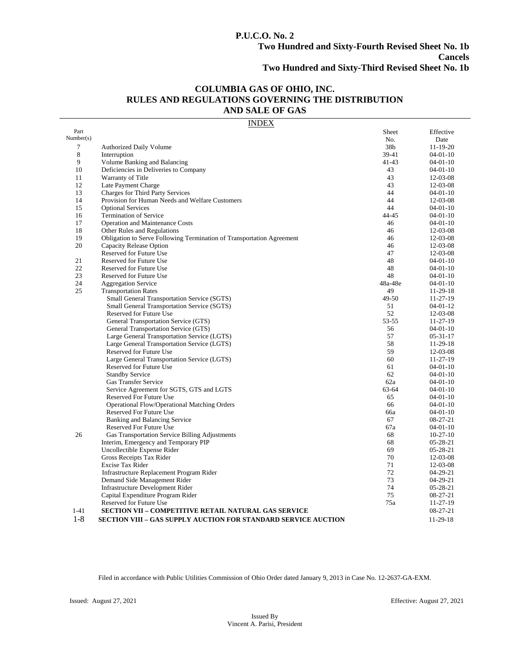# **P.U.C.O. No. 2**

## **COLUMBIA GAS OF OHIO, INC. RULES AND REGULATIONS GOVERNING THE DISTRIBUTION AND SALE OF GAS**

#### INDEX

| Part        |                                                                       | Sheet     | Effective      |
|-------------|-----------------------------------------------------------------------|-----------|----------------|
| Number(s)   |                                                                       | No.       | Date           |
| $\tau$      | <b>Authorized Daily Volume</b>                                        | 38b       | $11-19-20$     |
| $\,$ 8 $\,$ | Interruption                                                          | 39-41     | $04-01-10$     |
| 9           | Volume Banking and Balancing                                          | $41 - 43$ | $04-01-10$     |
| 10          | Deficiencies in Deliveries to Company                                 | 43        | $04-01-10$     |
| 11          | Warranty of Title                                                     | 43        | 12-03-08       |
| 12          | Late Payment Charge                                                   | 43        | 12-03-08       |
| 13          | <b>Charges for Third Party Services</b>                               | 44        | $04-01-10$     |
| 14          | Provision for Human Needs and Welfare Customers                       | 44        | 12-03-08       |
| 15          | <b>Optional Services</b>                                              | 44        | $04 - 01 - 10$ |
| 16          | <b>Termination of Service</b>                                         | 44-45     | $04-01-10$     |
| 17          | Operation and Maintenance Costs                                       | 46        | $04-01-10$     |
| 18          | Other Rules and Regulations                                           | 46        | 12-03-08       |
| 19          | Obligation to Serve Following Termination of Transportation Agreement | 46        | 12-03-08       |
| 20          | Capacity Release Option                                               | 46        | 12-03-08       |
|             | Reserved for Future Use                                               | 47        | 12-03-08       |
| 21          | Reserved for Future Use                                               | 48        | $04-01-10$     |
| 22          | Reserved for Future Use                                               | 48        | $04-01-10$     |
| 23          | Reserved for Future Use                                               | 48        | $04-01-10$     |
| 24          | <b>Aggregation Service</b>                                            | 48a-48e   | $04-01-10$     |
| 25          | <b>Transportation Rates</b>                                           | 49        | 11-29-18       |
|             | Small General Transportation Service (SGTS)                           | 49-50     | $11 - 27 - 19$ |
|             | Small General Transportation Service (SGTS)                           | 51        | $04 - 01 - 12$ |
|             | Reserved for Future Use                                               | 52        | 12-03-08       |
|             | General Transportation Service (GTS)                                  | 53-55     | 11-27-19       |
|             | General Transportation Service (GTS)                                  | 56        | $04-01-10$     |
|             | Large General Transportation Service (LGTS)                           | 57        | $05 - 31 - 17$ |
|             | Large General Transportation Service (LGTS)                           | 58        | 11-29-18       |
|             | Reserved for Future Use                                               | 59        | 12-03-08       |
|             | Large General Transportation Service (LGTS)                           | 60        | $11 - 27 - 19$ |
|             | Reserved for Future Use                                               | 61        | $04-01-10$     |
|             | <b>Standby Service</b>                                                | 62        | $04-01-10$     |
|             | <b>Gas Transfer Service</b>                                           | 62a       | $04-01-10$     |
|             | Service Agreement for SGTS, GTS and LGTS                              | 63-64     | $04 - 01 - 10$ |
|             | Reserved For Future Use                                               | 65        | $04-01-10$     |
|             | Operational Flow/Operational Matching Orders                          | 66        | $04-01-10$     |
|             | <b>Reserved For Future Use</b>                                        | 66a       | $04-01-10$     |
|             | Banking and Balancing Service                                         | 67        | 08-27-21       |
|             | Reserved For Future Use                                               | 67a       | $04-01-10$     |
| 26          | Gas Transportation Service Billing Adjustments                        | 68        | $10-27-10$     |
|             | Interim, Emergency and Temporary PIP                                  | 68        | $05-28-21$     |
|             | Uncollectible Expense Rider                                           | 69        | $05-28-21$     |
|             | Gross Receipts Tax Rider                                              | 70        | 12-03-08       |
|             | Excise Tax Rider                                                      | 71        | 12-03-08       |
|             | Infrastructure Replacement Program Rider                              | 72        | $04-29-21$     |
|             | Demand Side Management Rider                                          | 73        | 04-29-21       |
|             | <b>Infrastructure Development Rider</b>                               | 74        | 05-28-21       |
|             | Capital Expenditure Program Rider                                     | 75        | 08-27-21       |
|             | Reserved for Future Use                                               | 75a       | 11-27-19       |
| $1 - 41$    | <b>SECTION VII - COMPETITIVE RETAIL NATURAL GAS SERVICE</b>           |           | 08-27-21       |
| $1 - 8$     | <b>SECTION VIII - GAS SUPPLY AUCTION FOR STANDARD SERVICE AUCTION</b> |           | 11-29-18       |
|             |                                                                       |           |                |

Filed in accordance with Public Utilities Commission of Ohio Order dated January 9, 2013 in Case No. 12-2637-GA-EXM.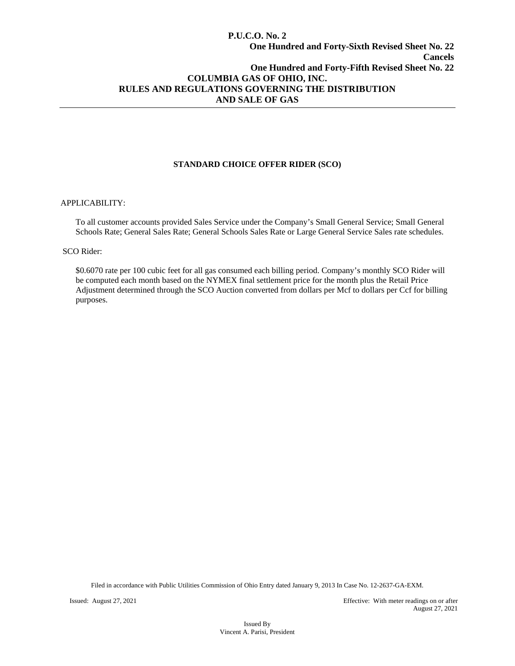## **P.U.C.O. No. 2 One Hundred and Forty-Sixth Revised Sheet No. 22 Cancels One Hundred and Forty-Fifth Revised Sheet No. 22 COLUMBIA GAS OF OHIO, INC. RULES AND REGULATIONS GOVERNING THE DISTRIBUTION AND SALE OF GAS**

## **STANDARD CHOICE OFFER RIDER (SCO)**

#### APPLICABILITY:

To all customer accounts provided Sales Service under the Company's Small General Service; Small General Schools Rate; General Sales Rate; General Schools Sales Rate or Large General Service Sales rate schedules.

#### SCO Rider:

\$0.6070 rate per 100 cubic feet for all gas consumed each billing period. Company's monthly SCO Rider will be computed each month based on the NYMEX final settlement price for the month plus the Retail Price Adjustment determined through the SCO Auction converted from dollars per Mcf to dollars per Ccf for billing purposes.

Filed in accordance with Public Utilities Commission of Ohio Entry dated January 9, 2013 In Case No. 12-2637-GA-EXM.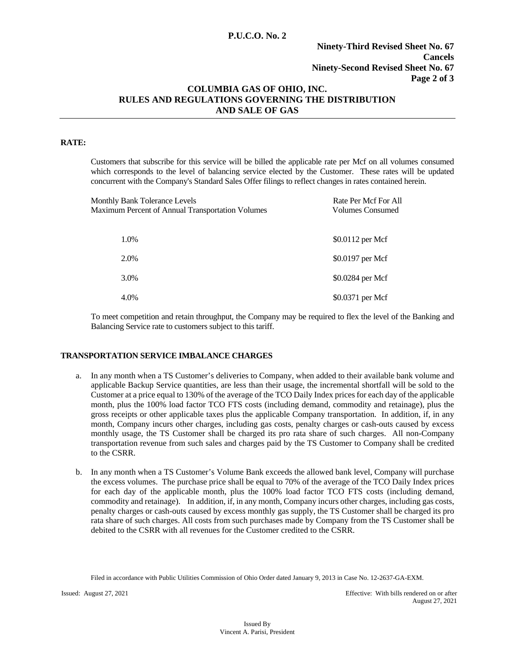## **P.U.C.O. No. 2**

## **Ninety-Third Revised Sheet No. 67 Cancels Ninety-Second Revised Sheet No. 67 Page 2 of 3**

## **COLUMBIA GAS OF OHIO, INC. RULES AND REGULATIONS GOVERNING THE DISTRIBUTION AND SALE OF GAS**

#### **RATE:**

Customers that subscribe for this service will be billed the applicable rate per Mcf on all volumes consumed which corresponds to the level of balancing service elected by the Customer. These rates will be updated concurrent with the Company's Standard Sales Offer filings to reflect changes in rates contained herein.

| <b>Monthly Bank Tolerance Levels</b><br>Maximum Percent of Annual Transportation Volumes | Rate Per Mcf For All<br>Volumes Consumed |
|------------------------------------------------------------------------------------------|------------------------------------------|
| 1.0%                                                                                     | \$0.0112 per Mcf                         |
| 2.0%                                                                                     | \$0.0197 per Mcf                         |
| 3.0%                                                                                     | \$0.0284 per Mcf                         |
| 4.0%                                                                                     | \$0.0371 per Mcf                         |

To meet competition and retain throughput, the Company may be required to flex the level of the Banking and Balancing Service rate to customers subject to this tariff.

## **TRANSPORTATION SERVICE IMBALANCE CHARGES**

- a. In any month when a TS Customer's deliveries to Company, when added to their available bank volume and applicable Backup Service quantities, are less than their usage, the incremental shortfall will be sold to the Customer at a price equal to 130% of the average of the TCO Daily Index prices for each day of the applicable month, plus the 100% load factor TCO FTS costs (including demand, commodity and retainage), plus the gross receipts or other applicable taxes plus the applicable Company transportation. In addition, if, in any month, Company incurs other charges, including gas costs, penalty charges or cash-outs caused by excess monthly usage, the TS Customer shall be charged its pro rata share of such charges. All non-Company transportation revenue from such sales and charges paid by the TS Customer to Company shall be credited to the CSRR.
- b. In any month when a TS Customer's Volume Bank exceeds the allowed bank level, Company will purchase the excess volumes. The purchase price shall be equal to 70% of the average of the TCO Daily Index prices for each day of the applicable month, plus the 100% load factor TCO FTS costs (including demand, commodity and retainage). In addition, if, in any month, Company incurs other charges, including gas costs, penalty charges or cash-outs caused by excess monthly gas supply, the TS Customer shall be charged its pro rata share of such charges. All costs from such purchases made by Company from the TS Customer shall be debited to the CSRR with all revenues for the Customer credited to the CSRR.

Filed in accordance with Public Utilities Commission of Ohio Order dated January 9, 2013 in Case No. 12-2637-GA-EXM.

Issued: August 27, 2021 Effective: With bills rendered on or after August 27, 2021